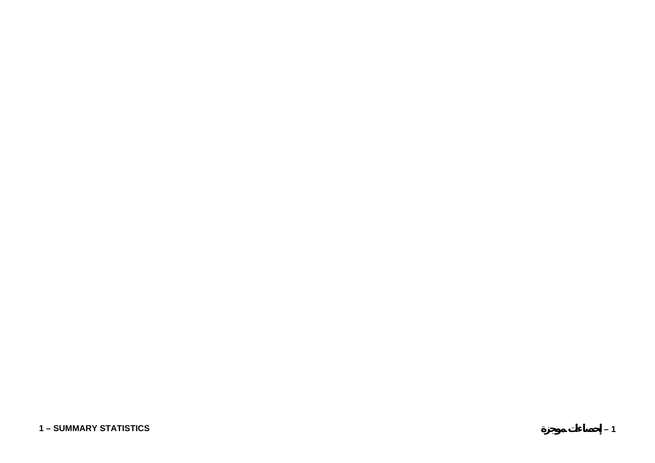### **1 – SUMMARY STATISTICS**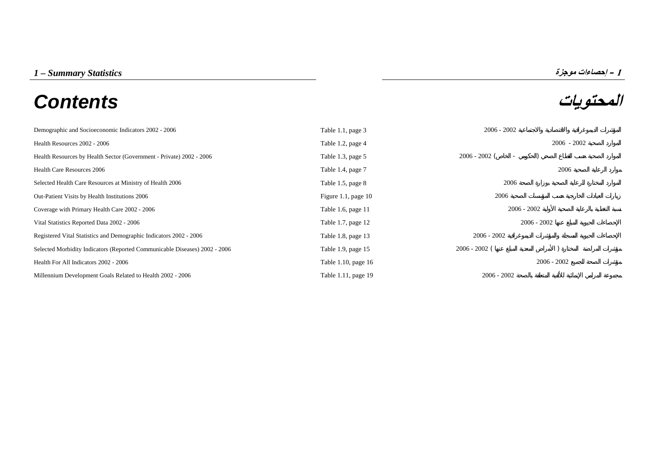# **المحتويات** *Contents*



| Demographic and Socioeconomic Indicators 2002 - 2006                       | Table 1.1, page 3     | $2006 - 2002$                               |               |
|----------------------------------------------------------------------------|-----------------------|---------------------------------------------|---------------|
| Health Resources 2002 - 2006                                               | Table 1.2, page 4     |                                             | $2006 - 2002$ |
| Health Resources by Health Sector (Government - Private) 2002 - 2006       | Table 1.3, page 5     | $2006 - 2002$ (<br>$\overline{\phantom{a}}$ |               |
| <b>Health Care Resources 2006</b>                                          | Table 1.4, page 7     |                                             | 2006          |
| Selected Health Care Resources at Ministry of Health 2006                  | Table 1.5, page 8     | 2006                                        |               |
| Out-Patient Visits by Health Institutions 2006                             | Figure 1.1, page $10$ | 2006                                        |               |
| Coverage with Primary Health Care 2002 - 2006                              | Table 1.6, page 11    | $2006 - 2002$                               |               |
| Vital Statistics Reported Data 2002 - 2006                                 | Table 1.7, page 12    | $2006 - 2002$                               |               |
| Registered Vital Statistics and Demographic Indicators 2002 - 2006         | Table 1.8, page 13    | $2006 - 2002$                               |               |
| Selected Morbidity Indicators (Reported Communicable Diseases) 2002 - 2006 | Table 1.9, page 15    | $2006 - 2002$ (                             |               |
| Health For All Indicators 2002 - 2006                                      | Table 1.10, page 16   |                                             | $2006 - 2002$ |
| Millennium Development Goals Related to Health 2002 - 2006                 | Table 1.11, page 19   | $2006 - 2002$                               |               |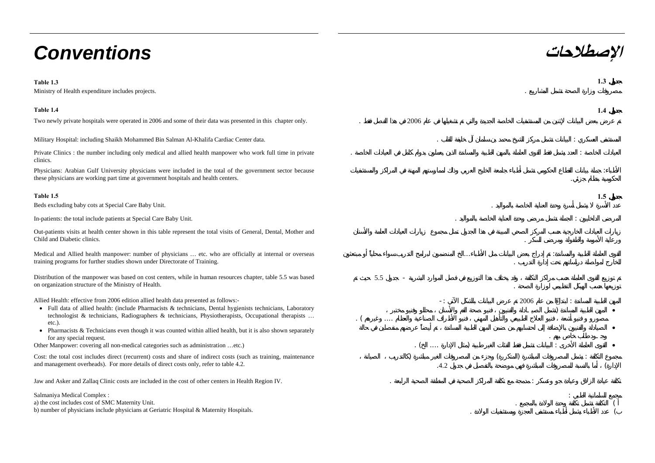# **الإصطلاحات** *Conventions*

#### **Table 1.3 1.3**

Ministry of Health expenditure includes projects. .

| Two newly private hospitals were operated in 2006 and some of their data was presented in this chapter only. | 2006 |
|--------------------------------------------------------------------------------------------------------------|------|
|                                                                                                              |      |

Military Hospital: including Shaikh Mohammed Bin Salman Al-Khalifa Cardiac Center data. . :

Private Clinics : the number including only medical and allied health manpower who work full time in private clinics.

Physicians: Arabian Gulf University physicians were included in the total of the government sector because these physicians are working part time at government hospitals and health centers.

#### **Table 1.5 1.5**

Beds excluding baby cots at Special Care Baby Unit. .

Out-patients visits at health center shown in this table represent the total visits of General, Dental, Mother and Child and Diabetic clinics.. A construction of the construction of the construction of the construction of the construction of the construction of the construction of the construction of the construction of the construction of the construction of th

Medical and Allied health manpower: number of physicians … etc. who are officially at internal or overseas training programs for further studies shown under Directorate of Training.

Distribution of the manpower was based on cost centers, while in human resources chapter, table 5.5 was based on organization structure of the Ministry of Health.

Allied Health: effective from 2006 edition allied health data presented as follows:-

- Full data of allied health: (include Pharmacists & technicians, Dental hygienists technicians, Laboratory technologist & technicians, Radiographers & technicians, Physiotherapists, Occupational therapists … etc.).
- Pharmacists & Technicians even though it was counted within allied health, but it is also shown separately for any special request.

Other Manpower: covering all non-medical categories such as administration …etc.)

Cost: the total cost includes direct (recurrent) costs and share of indirect costs (such as training, maintenance and management overheads). For more details of direct costs only, refer to table 4.2.

Jaw and Asker and Zallaq Clinic costs are included in the cost of other centers in Health Region IV. . :

Salmaniya Medical Complex :

a) the cost includes cost of SMC Maternity Unit.

b) number of physicians include physicians at Geriatric Hospital & Maternity Hospitals.



e de la construcción de la construcción de la construcción de la construcción de la construcción de la constru

# In-patients: the total include patients at Special Care Baby Unit.  $\therefore$

... :.

.







:

 $\overline{a}$  ( . The contract of the contract of  $\overline{a}$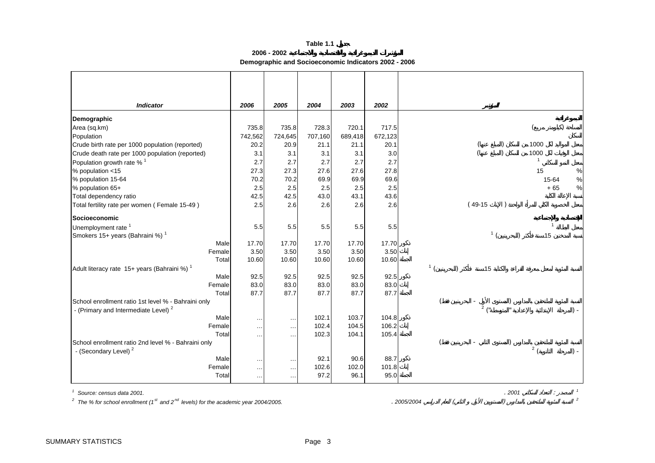**2006 - 2002**

**Demographic and Socioeconomic Indicators 2002 - 2006**

<span id="page-3-0"></span>

| <b>Indicator</b>                                                                                                                                    | 2006             | 2005                 | 2004    | 2003    | 2002    |                |           |              |                |                |
|-----------------------------------------------------------------------------------------------------------------------------------------------------|------------------|----------------------|---------|---------|---------|----------------|-----------|--------------|----------------|----------------|
| Demographic                                                                                                                                         |                  |                      |         |         |         |                |           |              |                |                |
| Area (sq.km)                                                                                                                                        | 735.8            | 735.8                | 728.3   | 720.1   | 717.5   |                |           |              |                |                |
| Population                                                                                                                                          | 742,562          | 724,645              | 707,160 | 689,418 | 672,123 |                |           |              |                |                |
| Crude birth rate per 1000 population (reported)                                                                                                     | 20.2             | 20.9                 | 21.1    | 21.1    | 20.1    |                |           |              | 1000           |                |
| Crude death rate per 1000 population (reported)                                                                                                     | 3.1              | 3.1                  | 3.1     | 3.1     | 3.0     |                |           |              | 1000           |                |
| Population growth rate % <sup>1</sup>                                                                                                               | 2.7              | 2.7                  | 2.7     | 2.7     | 2.7     |                |           |              | $\mathbf{1}$   |                |
| % population <15                                                                                                                                    | 27.3             | 27.3                 | 27.6    | 27.6    | 27.8    |                |           |              | 15             | $\%$           |
| % population 15-64                                                                                                                                  | 70.2             | 70.2                 | 69.9    | 69.9    | 69.6    |                |           |              | 15-64          | $\%$           |
| % population 65+                                                                                                                                    | 2.5              | 2.5                  | 2.5     | 2.5     | 2.5     |                |           |              | $+65$          | $\%$           |
| Total dependency ratio                                                                                                                              | 42.5             | 42.5                 | 43.0    | 43.1    | 43.6    |                |           |              |                |                |
| Total fertility rate per women (Female 15-49)                                                                                                       | 2.5              | 2.6                  | 2.6     | 2.6     | 2.6     |                | $(49-15)$ |              |                |                |
| Socioeconomic                                                                                                                                       |                  |                      |         |         |         |                |           |              |                |                |
| Unemployment rate <sup>1</sup>                                                                                                                      | 5.5              | 5.5                  | 5.5     | 5.5     | 5.5     |                |           |              | $\overline{1}$ |                |
| Smokers 15+ years (Bahraini %) <sup>1</sup>                                                                                                         |                  |                      |         |         |         |                |           | $\mathbf{1}$ | 15             |                |
| Male                                                                                                                                                | 17.70            | 17.70                | 17.70   | 17.70   | 17.70   |                |           |              |                |                |
| Female                                                                                                                                              | 3.50             | 3.50                 | 3.50    | 3.50    | 3.50    |                |           |              |                |                |
| Total                                                                                                                                               | 10.60            | 10.60                | 10.60   | 10.60   | 10.60   |                |           |              |                |                |
| Adult literacy rate 15+ years (Bahraini %) <sup>1</sup>                                                                                             |                  |                      |         |         |         | 1 <sub>1</sub> |           | 15           |                |                |
| Male                                                                                                                                                | 92.5             | 92.5                 | 92.5    | 92.5    | 92.5    |                |           |              |                |                |
| Female                                                                                                                                              | 83.0             | 83.0                 | 83.0    | 83.0    | 83.0    |                |           |              |                |                |
| Total                                                                                                                                               | 87.7             | 87.7                 | 87.7    | 87.7    | 87.7    |                |           |              |                |                |
| School enrollment ratio 1st level % - Bahraini only                                                                                                 |                  |                      |         |         |         |                | 2/1       |              |                |                |
| - (Primary and Intermediate Level) <sup>2</sup>                                                                                                     |                  |                      |         |         |         |                |           |              |                | $) -$          |
| Male                                                                                                                                                | $\ldots$         | $\ldots$             | 102.1   | 103.7   | 104.8   |                |           |              |                |                |
| Female                                                                                                                                              | $\ddotsc$        | $\ldots$             | 102.4   | 104.5   | 106.2   |                |           |              |                |                |
| Total<br>School enrollment ratio 2nd level % - Bahraini only                                                                                        | $\cdots$         | $\ldots$             | 102.3   | 104.1   | 105.4   |                |           |              |                |                |
| - (Secondary Level) <sup>2</sup>                                                                                                                    |                  |                      |         |         |         |                |           |              | 2(             | $) -$          |
| Male                                                                                                                                                |                  |                      | 92.1    | 90.6    | 88.7    |                |           |              |                |                |
| Female                                                                                                                                              | $\sim$<br>$\sim$ | $\ldots$<br>$\ldots$ | 102.6   | 102.0   | 101.8   |                |           |              |                |                |
| Total                                                                                                                                               | $\ddotsc$        | $\ldots$             | 97.2    | 96.1    | 95.0    |                |           |              |                |                |
|                                                                                                                                                     |                  |                      |         |         |         |                |           | .2001        |                |                |
| Source: census data 2001.<br><sup>2</sup> The % for school enrollment (1 <sup>st</sup> and 2 <sup>nd</sup> levels) for the academic year 2004/2005. |                  |                      |         |         |         | 2005/2004      |           |              |                | $\overline{c}$ |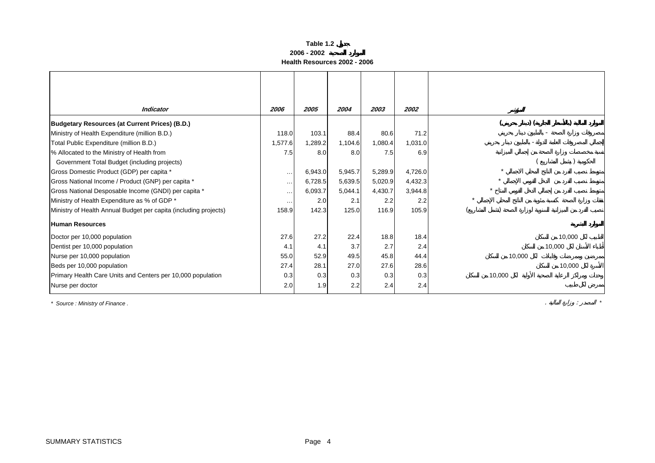#### **Table 1.2 2006 - 2002Health Resources 2002 - 2006**

<span id="page-4-0"></span>

| <b>Indicator</b>                                                 | 2006     | 2005    | 2004    | 2003    | 2002    |        |
|------------------------------------------------------------------|----------|---------|---------|---------|---------|--------|
| <b>Budgetary Resources (at Current Prices) (B.D.)</b>            |          |         |         |         |         |        |
| Ministry of Health Expenditure (million B.D.)                    | 118.0    | 103.1   | 88.4    | 80.6    | 71.2    |        |
| Total Public Expenditure (million B.D.)                          | 1,577.6  | 1,289.2 | 1,104.6 | 1,080.4 | 1,031.0 |        |
| % Allocated to the Ministry of Health from                       | 7.5      | 8.0     | 8.0     | 7.5     | 6.9     |        |
| Government Total Budget (including projects)                     |          |         |         |         |         |        |
| Gross Domestic Product (GDP) per capita *                        | $\cdots$ | 6,943.0 | 5,945.7 | 5,289.9 | 4,726.0 |        |
| Gross National Income / Product (GNP) per capita *               | $\cdots$ | 6,728.5 | 5,639.5 | 5,020.9 | 4,432.3 |        |
| Gross National Desposable Income (GNDI) per capita *             | $\cdots$ | 6,093.7 | 5,044.1 | 4,430.7 | 3,944.8 |        |
| Ministry of Health Expenditure as % of GDP *                     | .        | 2.0     | 2.1     | 2.2     | 2.2     |        |
| Ministry of Health Annual Budget per capita (including projects) | 158.9    | 142.3   | 125.0   | 116.9   | 105.9   |        |
| Human Resources                                                  |          |         |         |         |         |        |
| Doctor per 10,000 population                                     | 27.6     | 27.2    | 22.4    | 18.8    | 18.4    | 10,000 |
| Dentist per 10,000 population                                    | 4.1      | 4.1     | 3.7     | 2.7     | 2.4     | 10,000 |
| Nurse per 10,000 population                                      | 55.0     | 52.9    | 49.5    | 45.8    | 44.4    | 10,000 |
| Beds per 10,000 population                                       | 27.4     | 28.1    | 27.0    | 27.6    | 28.6    | 10,000 |
| Primary Health Care Units and Centers per 10,000 population      | 0.3      | 0.3     | 0.3     | 0.3     | 0.3     | 10,000 |
| Nurse per doctor                                                 | 2.0      | 1.9     | 2.2     | 2.4     | 2.4     |        |

*\* Source : Ministry of Finance .* . : *\**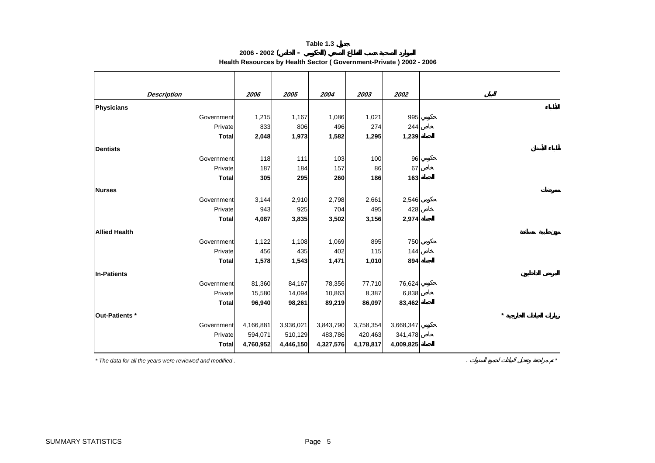#### **Table 1.3 2006 - 2002 ( - )**

**Health Resources by Health Sector ( Government-Private ) 2002 - 2006**

<span id="page-5-0"></span>

|                       | 2006      | 2005      | 2004      | 2003                 | 2002      |
|-----------------------|-----------|-----------|-----------|----------------------|-----------|
| <b>Description</b>    |           |           |           |                      |           |
| <b>Physicians</b>     |           |           |           |                      |           |
| Government            | 1,215     | 1,167     | 1,086     | 1,021                | 995       |
| Private               | 833       | 806       | 496       | 274                  | 244       |
| <b>Total</b>          | 2,048     | 1,973     | 1,582     | 1,295                | 1,239     |
| <b>Dentists</b>       |           |           |           |                      |           |
| Government            | 118       | 111       | 103       | 100                  | 96        |
| Private               | 187       | 184       | 157       | 86                   | 67        |
| <b>Total</b>          | 305       | 295       | 260       | 186                  | 163       |
| <b>Nurses</b>         |           |           |           |                      |           |
| Government            | 3,144     | 2,910     | 2,798     | 2,661                | 2,546     |
| Private               | 943       | 925       | 704       | 495                  | 428       |
| <b>Total</b>          | 4,087     | 3,835     | 3,502     | 3,156                | 2,974     |
| <b>Allied Health</b>  |           |           |           |                      |           |
| Government            | 1,122     | 1,108     | 1,069     | 895                  | 750       |
| Private               | 456       | 435       | 402       | 115                  | 144       |
| <b>Total</b>          | 1,578     | 1,543     | 1,471     | 1,010                | 894       |
| <b>In-Patients</b>    |           |           |           |                      |           |
| Government            | 81,360    | 84,167    | 78,356    | 77,710               | 76,624    |
| Private               | 15,580    | 14,094    | 10,863    | 8,387                | 6,838     |
| <b>Total</b>          | 96,940    | 98,261    | 89,219    | 86,097               | 83,462    |
|                       |           |           |           |                      |           |
| Out-Patients *        |           |           |           |                      | 3,668,347 |
| Government<br>Private | 4,166,881 | 3,936,021 | 3,843,790 | 3,758,354<br>420,463 |           |
|                       | 594,071   | 510,129   | 483,786   |                      | 341,478   |
| <b>Total</b>          | 4,760,952 | 4,446,150 | 4,327,576 | 4,178,817            | 4,009,825 |

*\* The data for all the years were reviewed and modified .* . *\**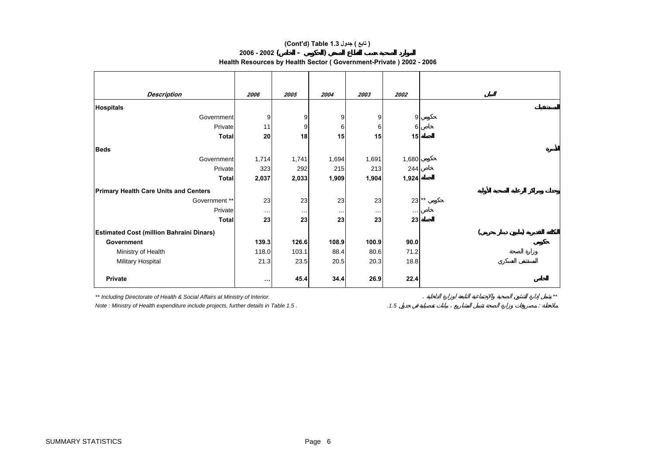#### **(Cont'd) Table 1.3 جدول ) تابع(**

#### **2006 - 2002( - )**

**Health Resources by Health Sector ( Government-Private ) 2002 - 2006**

| <b>Description</b>                              | 2006     | 2005     | 2004     | 2003     | 2002     |  |  |
|-------------------------------------------------|----------|----------|----------|----------|----------|--|--|
| <b>Hospitals</b>                                |          |          |          |          |          |  |  |
| Government                                      | 9        | 9        | 9        | 9        | 9        |  |  |
| Private                                         | 11       | 9        | 6        | 6        | 6        |  |  |
| <b>Total</b>                                    | 20       | 18       | 15       | 15       | 15       |  |  |
| <b>Beds</b>                                     |          |          |          |          |          |  |  |
| Government                                      | 1,714    | 1,741    | 1,694    | 1,691    | 1,680    |  |  |
| Private                                         | 323      | 292      | 215      | 213      | 244      |  |  |
| <b>Total</b>                                    | 2,037    | 2,033    | 1,909    | 1,904    | 1,924    |  |  |
| <b>Primary Health Care Units and Centers</b>    |          |          |          |          |          |  |  |
| Government **                                   | 23       | 23       | 23       | 23       | $23$ **  |  |  |
| Private                                         | $\cdots$ | $\ldots$ | $\ldots$ | $\cdots$ | $\cdots$ |  |  |
| <b>Total</b>                                    | 23       | 23       | 23       | 23       | 23       |  |  |
| <b>Estimated Cost (million Bahraini Dinars)</b> |          |          |          |          |          |  |  |
| <b>Government</b>                               | 139.3    | 126.6    | 108.9    | 100.9    | 90.0     |  |  |
| Ministry of Health                              | 118.0    | 103.1    | 88.4     | 80.6     | 71.2     |  |  |
| Military Hospital                               | 21.3     | 23.5     | 20.5     | 20.3     | 18.8     |  |  |
| Private                                         | $\cdots$ | 45.4     | 34.4     | 26.9     | 22.4     |  |  |

*\*\* Including Directorate of Health & Social Affairs at Ministry of Interior.* . *\*\**

*Note : Ministry of Health expenditure include projects, further details in Table 1.5 . .1.5* :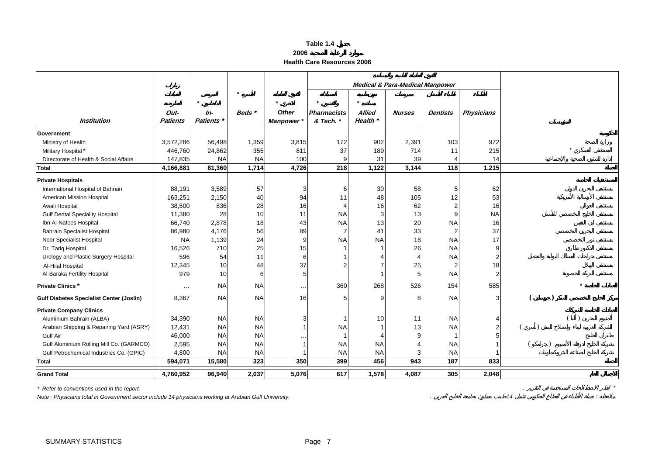| able<br>× |  |
|-----------|--|
|-----------|--|

| 2006 |  |
|------|--|
|      |  |

**Health Care Resources 2006**

<span id="page-7-0"></span>

|                                                 |                 |                   |           |                 | <b>Medical &amp; Para-Medical Manpower</b> |               |               |                 |                   |  |
|-------------------------------------------------|-----------------|-------------------|-----------|-----------------|--------------------------------------------|---------------|---------------|-----------------|-------------------|--|
|                                                 |                 |                   |           |                 |                                            |               |               |                 |                   |  |
|                                                 |                 | $\star$           |           | $\star$         | $\star$                                    | $\star$       |               |                 |                   |  |
|                                                 | Out-            | $In-$             | Beds *    | <b>Other</b>    | <b>Pharmacists</b>                         | <b>Allied</b> | <b>Nurses</b> | <b>Dentists</b> | <b>Physicians</b> |  |
| <b>Institution</b>                              | <b>Patients</b> | <b>Patients</b> * |           | <b>Manpower</b> | & Tech. *                                  | Health *      |               |                 |                   |  |
| <b>Government</b>                               |                 |                   |           |                 |                                            |               |               |                 |                   |  |
| Ministry of Health                              | 3,572,286       | 56,498            | 1,359     | 3,815           | 172                                        | 902           | 2,391         | 103             | 972               |  |
| Military Hospital*                              | 446,760         | 24,862            | 355       | 811             | 37                                         | 189           | 714           | 11              | 215               |  |
| Directorate of Health & Social Affairs          | 147,835         | <b>NA</b>         | <b>NA</b> | 100             |                                            | 31            | 39            |                 | 14                |  |
| <b>Total</b>                                    | 4,166,881       | 81,360            | 1,714     | 4,726           | 218                                        | 1,122         | 3,144         | 118             | 1,215             |  |
| <b>Private Hospitals</b>                        |                 |                   |           |                 |                                            |               |               |                 |                   |  |
| International Hospital of Bahrain               | 88,191          | 3,589             | 57        | 3               | 6                                          | 30            | 58            |                 | 62                |  |
| American Mission Hospital                       | 163,251         | 2,150             | 40        | 94              | 11                                         | 48            | 105           | 12              | 53                |  |
| Awali Hospital                                  | 38,500          | 836               | 28        | 16              |                                            | 16            | 62            |                 | 16                |  |
| <b>Gulf Dental Speciality Hospital</b>          | 11,380          | 28                | 10        | 11              | <b>NA</b>                                  | 3             | 13            |                 | <b>NA</b>         |  |
| Ibn Al-Nafees Hospital                          | 66,740          | 2,878             | 18        | 43              | <b>NA</b>                                  | 13            | 20            | <b>NA</b>       | 16                |  |
| <b>Bahrain Specialist Hospital</b>              | 86,980          | 4,176             | 56        | 89              | 7                                          | 41            | 33            |                 | 37                |  |
| Noor Specialist Hospital                        | <b>NA</b>       | 1,139             | 24        | 9               | <b>NA</b>                                  | <b>NA</b>     | 18            | <b>NA</b>       | 17                |  |
| Dr. Tariq Hospital                              | 16,526          | 710               | 25        | 15              |                                            |               | 26            | <b>NA</b>       | 9                 |  |
| Urology and Plastic Surgery Hospital            | 596             | 54                | 11        | 6               |                                            |               |               | <b>NA</b>       | $\overline{2}$    |  |
| Al-Hilal Hospital                               | 12,345          | 10                | 48        | 37              |                                            |               | 25            |                 | 18                |  |
| Al-Baraka Fertility Hospital                    | 979             | 10                | 6         | 5               |                                            |               | 5             | <b>NA</b>       | $\overline{2}$    |  |
| <b>Private Clinics*</b>                         | $\cdots$        | <b>NA</b>         | <b>NA</b> | $\cdots$        | 360                                        | 268           | 526           | 154             | 585               |  |
| <b>Gulf Diabetes Specialist Center (Joslin)</b> | 8,367           | <b>NA</b>         | <b>NA</b> | 16              |                                            | 9             | 8             | <b>NA</b>       | 3                 |  |
| <b>Private Company Clinics</b>                  |                 |                   |           |                 |                                            |               |               |                 |                   |  |
| Aluminium Bahrain (ALBA)                        | 34,390          | <b>NA</b>         | <b>NA</b> | 3               |                                            | 10            | 11            | <b>NA</b>       |                   |  |
| Arabian Shipping & Repairing Yard (ASRY)        | 12,431          | <b>NA</b>         | <b>NA</b> |                 | <b>NA</b>                                  |               | 13            | <b>NA</b>       | $\mathcal{P}$     |  |
| Gulf Air                                        | 46,000          | <b>NA</b>         | <b>NA</b> | . .             |                                            | 4             | q             |                 |                   |  |
| Gulf Aluminium Rolling Mill Co. (GARMCO)        | 2,595           | <b>NA</b>         | <b>NA</b> | 1               | <b>NA</b>                                  | <b>NA</b>     |               | <b>NA</b>       |                   |  |
| Gulf Petrochemical Industries Co. (GPIC)        | 4,800           | <b>NA</b>         | <b>NA</b> |                 | <b>NA</b>                                  | <b>NA</b>     |               | <b>NA</b>       |                   |  |
| <b>Total</b>                                    | 594,071         | 15,580            | 323       | 350             | 399                                        | 456           | 943           | 187             | 833               |  |
| <b>Grand Total</b>                              | 4,760,952       | 96,940            | 2,037     | 5,076           | 617                                        | 1,578         | 4,087         | 305             | 2,048             |  |

*\* Refer to conventions used in the report.* . *\**

*Note : Physicians total in Government sector include 14 physicians working at Arabian Gulf University.* . *14* :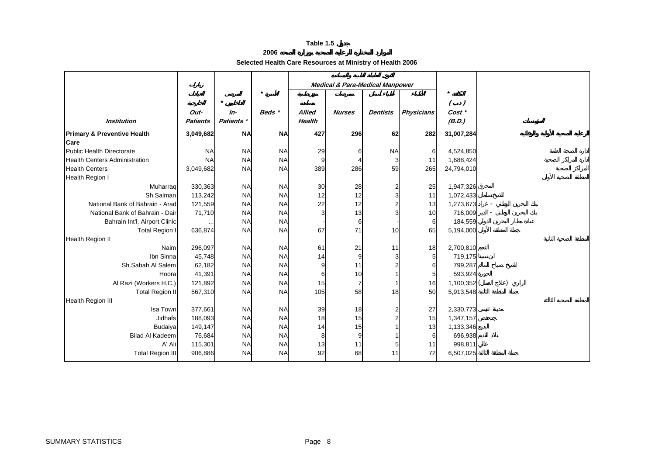**2006**

#### **Selected Health Care Resources at Ministry of Health 2006**

<span id="page-8-0"></span>

|                                        |                 |            |           |        |               | <b>Medical &amp; Para-Medical Manpower</b> |                   |                  |  |
|----------------------------------------|-----------------|------------|-----------|--------|---------------|--------------------------------------------|-------------------|------------------|--|
|                                        |                 |            | $\star$   |        |               |                                            |                   |                  |  |
|                                        | Out-            | $In-$      | Beds *    | Allied | <b>Nurses</b> | Dentists                                   | <b>Physicians</b> | $($ .)<br>Cost * |  |
| <b>Institution</b>                     | <b>Patients</b> | Patients * |           | Health |               |                                            |                   | (B.D.)           |  |
| <b>Primary &amp; Preventive Health</b> | 3,049,682       | <b>NA</b>  | <b>NA</b> | 427    | 296           | 62                                         | 282               | 31,007,284       |  |
| Care                                   |                 |            |           |        |               |                                            |                   |                  |  |
| Public Health Directorate              | <b>NA</b>       | <b>NA</b>  | <b>NA</b> | 29     | 6             | <b>NA</b>                                  | 6                 | 4,524,850        |  |
| <b>Health Centers Administration</b>   | <b>NA</b>       | <b>NA</b>  | <b>NA</b> | o      |               | 3                                          | 11                | 1,688,424        |  |
| <b>Health Centers</b>                  | 3,049,682       | <b>NA</b>  | <b>NA</b> | 389    | 286           | 59                                         | 265               | 24,794,010       |  |
| Health Region I                        |                 |            |           |        |               |                                            |                   |                  |  |
| Muharraq                               | 330,363         | <b>NA</b>  | <b>NA</b> | 30     | 28            | 2                                          | 25                | 1,947,326        |  |
| Sh.Salman                              | 113,242         | <b>NA</b>  | <b>NA</b> | 12     | 12            | 3                                          | 11                | 1,072,433        |  |
| National Bank of Bahrain - Arad        | 121,559         | <b>NA</b>  | <b>NA</b> | 22     | 12            |                                            | 13                | 1,273,673        |  |
| National Bank of Bahrain - Dair        | 71,710          | <b>NA</b>  | <b>NA</b> |        | 13            |                                            | 10                | 716,009          |  |
| Bahrain Int'l. Airport Clinic          |                 | <b>NA</b>  | <b>NA</b> |        | 6             |                                            | 6                 | 184,559          |  |
| <b>Total Region I</b>                  | 636,874         | <b>NA</b>  | <b>NA</b> | 67     | 71            | 10                                         | 65                | 5,194,000        |  |
| <b>Health Region II</b>                |                 |            |           |        |               |                                            |                   |                  |  |
| Naim                                   | 296,097         | <b>NA</b>  | <b>NA</b> | 61     | 21            | 11                                         | 18                | 2,700,810        |  |
| Ibn Sinna                              | 45,748          | <b>NA</b>  | <b>NA</b> | 14     | 9             |                                            | 5 <sub>l</sub>    | 719,175          |  |
| Sh.Sabah Al Salem                      | 62,182          | <b>NA</b>  | <b>NA</b> | g      | 11            |                                            | 6                 | 799,287          |  |
| Hoora                                  | 41,391          | <b>NA</b>  | <b>NA</b> | 6      | 10            |                                            | 5 <sub>l</sub>    | 593,924          |  |
| Al Razi (Workers H.C.)                 | 121,892         | <b>NA</b>  | <b>NA</b> | 15     | 7             |                                            | 16                | 1,100,352        |  |
| <b>Total Region II</b>                 | 567,310         | <b>NA</b>  | <b>NA</b> | 105    | 58            | 18                                         | 50                | 5,913,548        |  |
| Health Region III                      |                 |            |           |        |               |                                            |                   |                  |  |
| Isa Town                               | 377,661         | <b>NA</b>  | <b>NA</b> | 39     | 18            |                                            | 27                | 2,330,773        |  |
| Jidhafs                                | 188,093         | <b>NA</b>  | <b>NA</b> | 18     | 15            |                                            | 15                | 1,347,157        |  |
| Budaiya                                | 149,147         | <b>NA</b>  | <b>NA</b> | 14     | 15            |                                            | 13                | 1,133,346        |  |
| <b>Bilad Al Kadeem</b>                 | 76,684          | <b>NA</b>  | <b>NA</b> | 8      | 9             |                                            | 6                 | 696,938          |  |
| A' Ali                                 | 115,301         | <b>NA</b>  | <b>NA</b> | 13     | 11            | 5                                          | 11                | 998,811          |  |
| Total Region III                       | 906,886         | <b>NA</b>  | <b>NA</b> | 92     | 68            | 11                                         | 72                | 6,507,025        |  |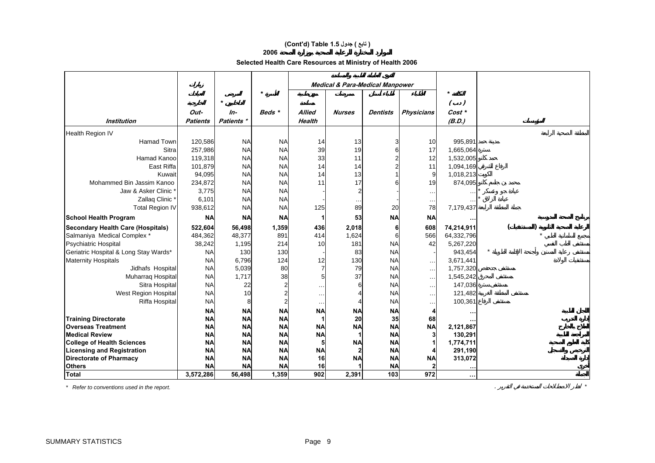#### **(Cont'd) Table 1.5 جدول ) تابع(**

#### **2006**

**Selected Health Care Resources at Ministry of Health 2006** 

|                                          |                 |            |           |               |               | <b>Medical &amp; Para-Medical Manpower</b> |                   |            |  |
|------------------------------------------|-----------------|------------|-----------|---------------|---------------|--------------------------------------------|-------------------|------------|--|
|                                          |                 |            | $\star$   |               |               |                                            |                   |            |  |
|                                          |                 | $\star$    |           |               |               |                                            |                   | $($ .)     |  |
|                                          | Out-            | In-        | Beds *    | <b>Allied</b> | <b>Nurses</b> | <b>Dentists</b>                            | <b>Physicians</b> | Cost *     |  |
| <b>Institution</b>                       | <b>Patients</b> | Patients * |           | <b>Health</b> |               |                                            |                   | (B.D.)     |  |
| <b>Health Region IV</b>                  |                 |            |           |               |               |                                            |                   |            |  |
| Hamad Town                               | 120,586         | <b>NA</b>  | <b>NA</b> | 14            | 13            | З                                          | 10                | 995,891    |  |
| Sitra                                    | 257,986         | <b>NA</b>  | <b>NA</b> | 39            | 19            | 6                                          | 17                | 1,665,064  |  |
| Hamad Kanoo                              | 119,318         | <b>NA</b>  | <b>NA</b> | 33            | 11            | $\overline{2}$                             | 12                | 1,532,005  |  |
| East Riffa                               | 101,879         | <b>NA</b>  | <b>NA</b> | 14            | 14            |                                            | 11                | 1,094,169  |  |
| Kuwait                                   | 94,095          | <b>NA</b>  | <b>NA</b> | 14            | 13            |                                            | 9                 | 1,018,213  |  |
| Mohammed Bin Jassim Kanoo                | 234,872         | <b>NA</b>  | <b>NA</b> | 11            | 17            |                                            | 19                | 874,095    |  |
| Jaw & Asker Clinic *                     | 3,775           | <b>NA</b>  | <b>NA</b> |               | 2             |                                            | $\ddotsc$         |            |  |
| Zallaq Clinic*                           | 6,101           | <b>NA</b>  | <b>NA</b> |               | $\cdots$      |                                            | $\cdots$          |            |  |
| <b>Total Region IV</b>                   | 938,612         | <b>NA</b>  | <b>NA</b> | 125           | 89            | 20                                         | 78                | 7,179,437  |  |
| <b>School Health Program</b>             | <b>NA</b>       | <b>NA</b>  | <b>NA</b> |               | 53            | <b>NA</b>                                  | <b>NA</b>         |            |  |
| <b>Secondary Health Care (Hospitals)</b> | 522,604         | 56,498     | 1,359     | 436           | 2,018         | 6                                          | 608               | 74,214,911 |  |
| Salmaniya Medical Complex *              | 484,362         | 48,377     | 891       | 414           | 1,624         | 6                                          | 566               | 64,332,796 |  |
| Psychiatric Hospital                     | 38,242          | 1,195      | 214       | 10            | 181           | <b>NA</b>                                  | 42                | 5,267,220  |  |
| Geriatric Hospital & Long Stay Wards*    | <b>NA</b>       | 130        | 130       |               | 83            | <b>NA</b>                                  |                   | 943,454    |  |
| <b>Maternity Hospitals</b>               | <b>NA</b>       | 6,796      | 124       | 12            | 130           | <b>NA</b>                                  | $\sim$            | 3,671,441  |  |
| Jidhafs Hospital                         | <b>NA</b>       | 5,039      | 80        |               | 79            | <b>NA</b>                                  | $\ddotsc$         | 1,757,320  |  |
| Muharraq Hospital                        | <b>NA</b>       | 1,717      | 38        | 5             | 37            | <b>NA</b>                                  | $\ddotsc$         | 1,545,242  |  |
| Sitra Hospital                           | <b>NA</b>       | 22         |           | $\ddotsc$     |               | <b>NA</b>                                  | $\ddotsc$         | 147,036    |  |
| West Region Hospital                     | <b>NA</b>       | 10         |           | $\ddotsc$     |               | <b>NA</b>                                  | $\ddotsc$         | 121,482    |  |
| <b>Riffa Hospital</b>                    | <b>NA</b>       |            |           | $\ddotsc$     |               | <b>NA</b>                                  | . .               | 100,361    |  |
|                                          | <b>NA</b>       | <b>NA</b>  | <b>NA</b> | <b>NA</b>     | <b>NA</b>     | <b>NA</b>                                  |                   |            |  |
| <b>Training Directorate</b>              | <b>NA</b>       | <b>NA</b>  | <b>NA</b> |               | 20            | 35                                         | 68                |            |  |
| <b>Overseas Treatment</b>                | <b>NA</b>       | <b>NA</b>  | <b>NA</b> | <b>NA</b>     | <b>NA</b>     | <b>NA</b>                                  | <b>NA</b>         | 2,121,867  |  |
| <b>Medical Review</b>                    | <b>NA</b>       | <b>NA</b>  | <b>NA</b> | <b>NA</b>     |               | <b>NA</b>                                  |                   | 130,291    |  |
| <b>College of Health Sciences</b>        | <b>NA</b>       | <b>NA</b>  | <b>NA</b> |               | <b>NA</b>     | <b>NA</b>                                  |                   | 1,774,711  |  |
| <b>Licensing and Registration</b>        | <b>NA</b>       | <b>NA</b>  | <b>NA</b> | <b>NA</b>     |               | <b>NA</b>                                  |                   | 291,190    |  |
| <b>Directorate of Pharmacy</b>           | <b>NA</b>       | <b>NA</b>  | <b>NA</b> | 16            | <b>NA</b>     | <b>NA</b>                                  | <b>NA</b>         | 313,072    |  |
| <b>Others</b>                            | <b>NA</b>       | <b>NA</b>  | <b>NA</b> | 16            |               | <b>NA</b>                                  |                   |            |  |
| <b>Total</b>                             | 3,572,286       | 56,498     | 1,359     | 902           | 2,391         | 103                                        | 972               | $\cdots$   |  |

*\* Refer to conventions used in the report.* . *\**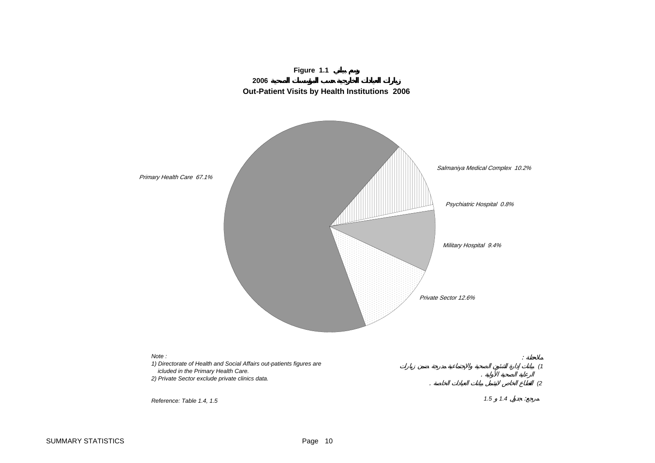<span id="page-10-0"></span>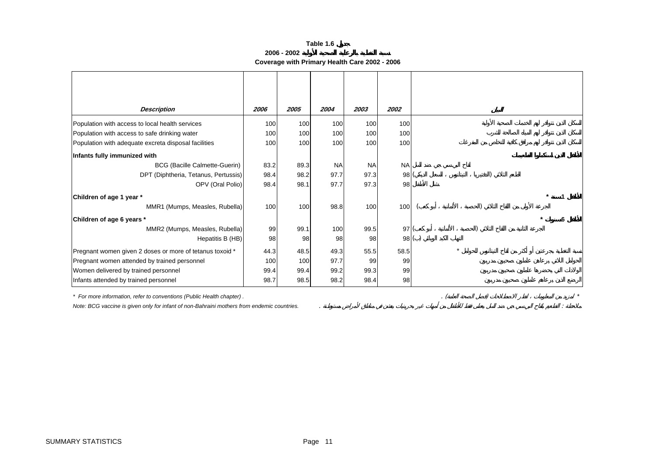**2006 - 2002**

**Coverage with Primary Health Care 2002 - 2006**

<span id="page-11-0"></span>

| <b>Description</b>                                       | 2006 | 2005 | 2004      | 2003      | 2002      |     |  |
|----------------------------------------------------------|------|------|-----------|-----------|-----------|-----|--|
| Population with access to local health services          | 100  | 100  | 100       | 100       | 100       |     |  |
| Population with access to safe drinking water            | 100  | 100  | 100       | 100       | 100       |     |  |
| Population with adequate excreta disposal facilities     | 100  | 100  | 100       | 100       | 100       |     |  |
| Infants fully immunized with                             |      |      |           |           |           |     |  |
| <b>BCG (Bacille Calmette-Guerin)</b>                     | 83.2 | 89.3 | <b>NA</b> | <b>NA</b> | <b>NA</b> |     |  |
| DPT (Diphtheria, Tetanus, Pertussis)                     | 98.4 | 98.2 | 97.7      | 97.3      | 98        |     |  |
| OPV (Oral Polio)                                         | 98.4 | 98.1 | 97.7      | 97.3      | 98        |     |  |
| Children of age 1 year *                                 |      |      |           |           |           |     |  |
| MMR1 (Mumps, Measles, Rubella)                           | 100  | 100  | 98.8      | 100       | 100       |     |  |
| Children of age 6 years *                                |      |      |           |           |           |     |  |
| MMR2 (Mumps, Measles, Rubella)                           | 99   | 99.1 | 100       | 99.5      | 97        |     |  |
| Hepatitis B (HB)                                         | 98   | 98   | 98        | 98        |           | 98( |  |
| Pregnant women given 2 doses or more of tetanus toxoid * | 44.3 | 48.5 | 49.3      | 55.5      | 58.5      |     |  |
| Pregnant women attended by trained personnel             | 100  | 100  | 97.7      | 99        | 99        |     |  |
| Women delivered by trained personnel                     | 99.4 | 99.4 | 99.2      | 99.3      | 99        |     |  |
| Infants attended by trained personnel                    | 98.7 | 98.5 | 98.2      | 98.4      | 98        |     |  |

*\* For more information, refer to conventions (Public Health chapter) .* . ( ) *\**

*Note: BCG vaccine is given only for infant of non-Bahraini mothers from endemic countries.* . :

SUMMARY STATISTICS **Page 11**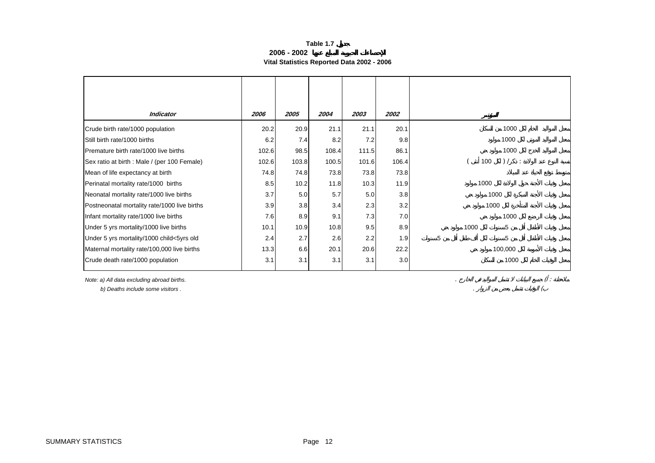#### **Table 1.7 2006 - 2002Vital Statistics Reported Data 2002 - 2006**

<span id="page-12-0"></span>

| Indicator                                    | 2006  | 2005  | 2004  | 2003  | <i><b>2002</b></i> |                        |
|----------------------------------------------|-------|-------|-------|-------|--------------------|------------------------|
| Crude birth rate/1000 population             | 20.2  | 20.9  | 21.1  | 21.1  | 20.1               | 1000                   |
| Still birth rate/1000 births                 | 6.2   | 7.4   | 8.2   | 7.2   | 9.8                | 1000                   |
| Premature birth rate/1000 live births        | 102.6 | 98.5  | 108.4 | 111.5 | 86.1               | 1000                   |
| Sex ratio at birth : Male / (per 100 Female) | 102.6 | 103.8 | 100.5 | 101.6 | 106.4              | 100<br>) /<br>$\sim$ 1 |
| Mean of life expectancy at birth             | 74.8  | 74.8  | 73.8  | 73.8  | 73.8               |                        |
| Perinatal mortality rate/1000 births         | 8.5   | 10.2  | 11.8  | 10.3  | 11.9               | 1000                   |
| Neonatal mortality rate/1000 live births     | 3.7   | 5.0   | 5.7   | 5.0   | 3.8                | 1000                   |
| Postneonatal mortality rate/1000 live births | 3.9   | 3.8   | 3.4   | 2.3   | 3.2                | 1000                   |
| Infant mortality rate/1000 live births       | 7.6   | 8.9   | 9.1   | 7.3   | 7.0                | 1000                   |
| Under 5 yrs mortality/1000 live births       | 10.1  | 10.9  | 10.8  | 9.5   | 8.9                | 1000<br>5              |
| Under 5 yrs mortality/1000 child<5yrs old    | 2.4   | 2.7   | 2.6   | 2.2   | 1.9                | 5<br>5                 |
| Maternal mortality rate/100,000 live births  | 13.3  | 6.6   | 20.1  | 20.6  | 22.2               | 100,000                |
| Crude death rate/1000 population             | 3.1   | 3.1   | 3.1   | 3.1   | 3.0                | 1000                   |

*Note: a) All data excluding abroad births.* . ( :  *b) Deaths include some visitors .* . (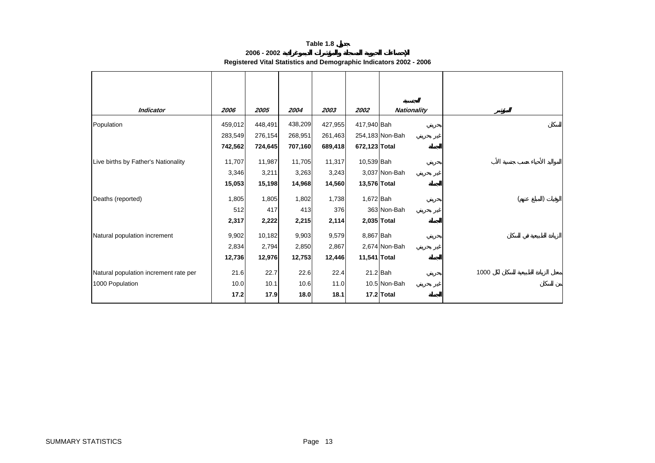| 2006 - 2002                                                        |  |
|--------------------------------------------------------------------|--|
| Registered Vital Statistics and Demographic Indicators 2002 - 2006 |  |

<span id="page-13-0"></span>

| <b>Indicator</b>                      | 2006    | 2005    | 2004    | 2003    | 2002          | <b>Nationality</b> |      |
|---------------------------------------|---------|---------|---------|---------|---------------|--------------------|------|
| Population                            | 459,012 | 448,491 | 438,209 | 427,955 | 417,940 Bah   |                    |      |
|                                       | 283,549 | 276,154 | 268,951 | 261,463 |               | 254,183 Non-Bah    |      |
|                                       | 742,562 | 724,645 | 707,160 | 689,418 | 672,123 Total |                    |      |
| Live births by Father's Nationality   | 11,707  | 11,987  | 11,705  | 11,317  | 10,539 Bah    |                    |      |
|                                       | 3,346   | 3,211   | 3,263   | 3,243   |               | 3,037 Non-Bah      |      |
|                                       | 15,053  | 15,198  | 14,968  | 14,560  | 13,576 Total  |                    |      |
| Deaths (reported)                     | 1,805   | 1,805   | 1,802   | 1,738   | 1,672 Bah     |                    |      |
|                                       | 512     | 417     | 413     | 376     |               | 363 Non-Bah        |      |
|                                       | 2,317   | 2,222   | 2,215   | 2,114   |               | 2,035 Total        |      |
| Natural population increment          | 9,902   | 10,182  | 9,903   | 9,579   | 8,867 Bah     |                    |      |
|                                       | 2,834   | 2,794   | 2,850   | 2,867   |               | 2,674 Non-Bah      |      |
|                                       | 12,736  | 12,976  | 12,753  | 12,446  | 11,541 Total  |                    |      |
| Natural population increment rate per | 21.6    | 22.7    | 22.6    | 22.4    |               | $21.2$ Bah         | 1000 |
| 1000 Population                       | 10.0    | 10.1    | 10.6    | 11.0    |               | 10.5 Non-Bah       |      |
|                                       | 17.2    | 17.9    | 18.0    | 18.1    |               | 17.2 Total         |      |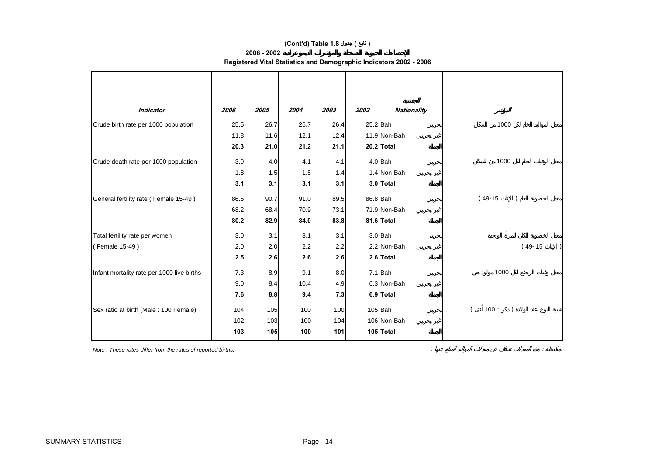#### **(Cont'd) Table 1.8 جدول ) تابع(**

#### **2006 - 2002**

| Registered Vital Statistics and Demographic Indicators 2002 - 2006 |  |  |  |
|--------------------------------------------------------------------|--|--|--|
|                                                                    |  |  |  |

| <b>Indicator</b>                           | 2006 | 2005 | 2004 | 2003 | 2002 | <b>Nationality</b> |                            |
|--------------------------------------------|------|------|------|------|------|--------------------|----------------------------|
| Crude birth rate per 1000 population       | 25.5 | 26.7 | 26.7 | 26.4 |      | 25.2 Bah           | 1000                       |
|                                            | 11.8 | 11.6 | 12.1 | 12.4 |      | 11.9 Non-Bah       |                            |
|                                            | 20.3 | 21.0 | 21.2 | 21.1 |      | 20.2 Total         |                            |
| Crude death rate per 1000 population       | 3.9  | 4.0  | 4.1  | 4.1  |      | $4.0$ Bah          | 1000                       |
|                                            | 1.8  | 1.5  | 1.5  | 1.4  |      | 1.4 Non-Bah        |                            |
|                                            | 3.1  | 3.1  | 3.1  | 3.1  |      | 3.0 Total          |                            |
| General fertility rate (Female 15-49)      | 86.6 | 90.7 | 91.0 | 89.5 |      | 86.8 Bah           | $(49-15)$<br>$\mathcal{E}$ |
|                                            | 68.2 | 68.4 | 70.9 | 73.1 |      | 71.9 Non-Bah       |                            |
|                                            | 80.2 | 82.9 | 84.0 | 83.8 |      | 81.6 Total         |                            |
| Total fertility rate per women             | 3.0  | 3.1  | 3.1  | 3.1  |      | $3.0$ Bah          |                            |
| (Female 15-49)                             | 2.0  | 2.0  | 2.2  | 2.2  |      | 2.2 Non-Bah        | $(49-15)$                  |
|                                            | 2.5  | 2.6  | 2.6  | 2.6  |      | 2.6 Total          |                            |
| Infant mortality rate per 1000 live births | 7.3  | 8.9  | 9.1  | 8.0  |      | $7.1$ Bah          | 1000                       |
|                                            | 9.0  | 8.4  | 10.4 | 4.9  |      | 6.3 Non-Bah        |                            |
|                                            | 7.6  | 8.8  | 9.4  | 7.3  |      | 6.9 Total          |                            |
| Sex ratio at birth (Male: 100 Female)      | 104  | 105  | 100  | 100  |      | $105$ $Bah$        | 100:                       |
|                                            | 102  | 103  | 100  | 104  |      | 106 Non-Bah        |                            |
|                                            | 103  | 105  | 100  | 101  |      | 105 Total          |                            |
|                                            |      |      |      |      |      |                    |                            |

*Note : These rates differ from the rates of reported births.* . :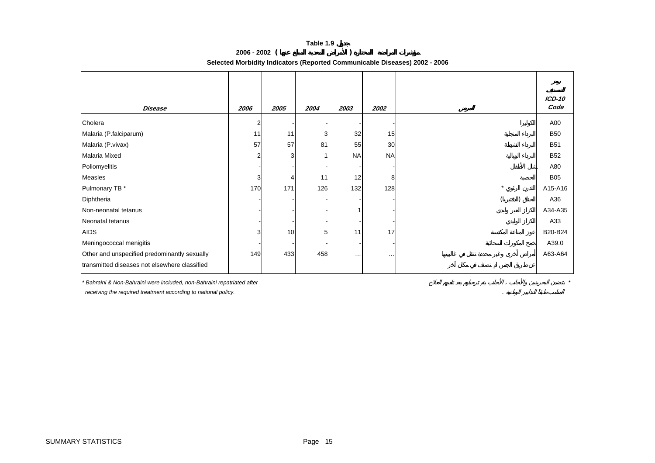**2006 - 2002 ( )** 

**Selected Morbidity Indicators (Reported Communicable Diseases) 2002 - 2006**

<span id="page-15-0"></span>

| Disease                                       | 2006           | 2005 | 2004           | 2003                     | 2002      |         | ICD-10<br>Code |
|-----------------------------------------------|----------------|------|----------------|--------------------------|-----------|---------|----------------|
| Cholera                                       | $\overline{2}$ |      |                |                          |           |         | A00            |
| Malaria (P.falciparum)                        | 11             | 11   | $\overline{3}$ | 32                       | 15        |         | <b>B50</b>     |
| Malaria (P.vivax)                             | 57             | 57   | 81             | 55                       | 30        |         | <b>B51</b>     |
| Malaria Mixed                                 | $\overline{2}$ | 3    |                | <b>NA</b>                | <b>NA</b> |         | <b>B52</b>     |
| Poliomyelitis                                 |                |      |                |                          |           |         | A80            |
| Measles                                       | 3              |      | 11             | 12                       | 8         |         | <b>B05</b>     |
| Pulmonary TB *                                | 170            | 171  | 126            | 132                      | 128       | $\star$ | A15-A16        |
| Diphtheria                                    |                |      |                |                          |           |         | A36            |
| Non-neonatal tetanus                          |                |      |                |                          |           |         | A34-A35        |
| Neonatal tetanus                              |                |      |                |                          |           |         | A33            |
| <b>AIDS</b>                                   | 3              | 10   | 5 <sub>l</sub> | 11                       | 17        |         | B20-B24        |
| Meningococcal menigitis                       |                |      |                | $\overline{\phantom{a}}$ |           |         | A39.0          |
| Other and unspecified predominantly sexually  | 149            | 433  | 458            | $\cdots$                 | $\cdots$  |         | A63-A64        |
| transmitted diseases not elsewhere classified |                |      |                |                          |           |         |                |

*\* Bahraini & Non-Bahraini were included, non-Bahraini repatriated after \**

 *receiving the required treatment according to national policy.* .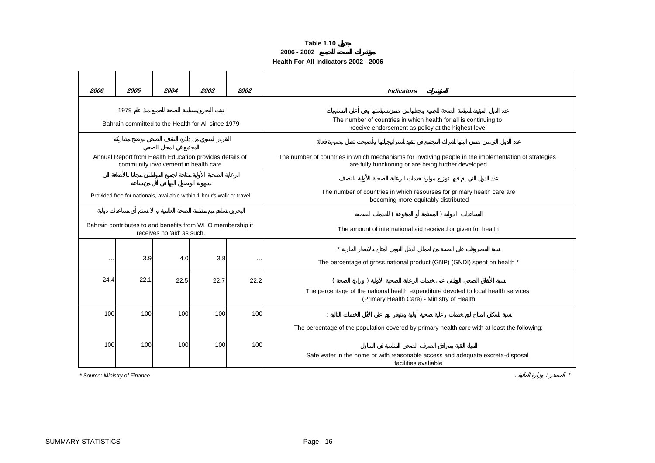#### **Table 1.10 2006 - 2002 Health For All Indicators 2002 - 2006**

<span id="page-16-0"></span>

| 2006                                                                                     | 2005                           | 2004                                                                                             | 2003 | 2002   | <b>Indicators</b>                                                                                                                                                                                      |  |  |  |
|------------------------------------------------------------------------------------------|--------------------------------|--------------------------------------------------------------------------------------------------|------|--------|--------------------------------------------------------------------------------------------------------------------------------------------------------------------------------------------------------|--|--|--|
|                                                                                          | 1979                           | Bahrain committed to the Health for All since 1979                                               |      |        | The number of countries in which health for all is continuing to<br>receive endorsement as policy at the highest level                                                                                 |  |  |  |
|                                                                                          |                                | Annual Report from Health Education provides details of<br>community involvement in health care. |      |        | The number of countries in which mechanisms for involving people in the implementation of strategies<br>are fully functioning or are being further developed                                           |  |  |  |
|                                                                                          |                                | Provided free for nationals, available within 1 hour's walk or travel                            |      |        | The number of countries in which resourses for primary health care are<br>becoming more equitably distributed                                                                                          |  |  |  |
| Bahrain contributes to and benefits from WHO membership it<br>receives no 'aid' as such. |                                |                                                                                                  |      |        | The amount of international aid received or given for health                                                                                                                                           |  |  |  |
| $\cdots$                                                                                 | 3.9                            | 4.0                                                                                              | 3.8  | $\sim$ | $\star$<br>The percentage of gross national product (GNP) (GNDI) spent on health *                                                                                                                     |  |  |  |
| 24.4                                                                                     | 22.1                           | 22.5                                                                                             | 22.7 | 22.2   | The percentage of the national health expenditure devoted to local health services<br>(Primary Health Care) - Ministry of Health                                                                       |  |  |  |
| 100                                                                                      | 100                            | 100                                                                                              | 100  | 100    |                                                                                                                                                                                                        |  |  |  |
| 100                                                                                      | 100                            | 100                                                                                              | 100  | 100    | The percentage of the population covered by primary health care with at least the following:<br>Safe water in the home or with reasonable access and adequate excreta-disposal<br>facilities avaliable |  |  |  |
|                                                                                          | * Source: Ministry of Finance. |                                                                                                  |      |        |                                                                                                                                                                                                        |  |  |  |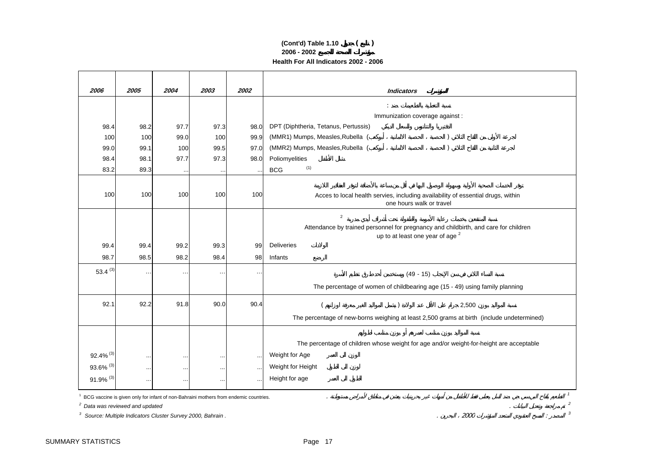#### **2006 - 2002 Health For All Indicators 2002 - 2006 (Cont'd) Table 1.10 ( )**

| 2006                    | 2005                                       | 2004      | 2003                                                                                 | 2002      | <b>Indicators</b>                                                                                            |
|-------------------------|--------------------------------------------|-----------|--------------------------------------------------------------------------------------|-----------|--------------------------------------------------------------------------------------------------------------|
|                         |                                            |           |                                                                                      |           |                                                                                                              |
|                         |                                            |           |                                                                                      |           | Immunization coverage against :                                                                              |
| 98.4                    | 98.2                                       | 97.7      | 97.3                                                                                 | 98.0      | DPT (Diphtheria, Tetanus, Pertussis)                                                                         |
| 100                     | 100                                        | 99.0      | 100                                                                                  | 99.9      | (MMR1) Mumps, Measles, Rubella (                                                                             |
| 99.0                    | 99.1                                       | 100       | 99.5                                                                                 | 97.0      | (MMR2) Mumps, Measles, Rubella (                                                                             |
| 98.4                    | 98.1                                       | 97.7      | 97.3                                                                                 | 98.0      | Poliomyelities                                                                                               |
| 83.2                    | 89.3                                       | $\cdot$ . | $\sim$                                                                               |           | (1)<br><b>BCG</b>                                                                                            |
|                         |                                            |           |                                                                                      |           |                                                                                                              |
| 100                     | 100                                        | 100       | 100                                                                                  | 100       | Acces to local health servies, including availability of essential drugs, within<br>one hours walk or travel |
|                         |                                            |           |                                                                                      |           | $\overline{c}$                                                                                               |
|                         |                                            |           |                                                                                      |           | Attendance by trained personnel for pregnancy and childbirth, and care for children                          |
|                         |                                            |           |                                                                                      |           | up to at least one year of age <sup>2</sup>                                                                  |
| 99.4                    | 99.4                                       | 99.2      | 99.3                                                                                 | 99        | <b>Deliveries</b>                                                                                            |
| 98.7                    | 98.5                                       | 98.2      | 98.4                                                                                 | 98        | Infants                                                                                                      |
| 53.4 $(3)$              | $\cdot$ .                                  | $\sim$    | $\ddotsc$                                                                            | $\ddotsc$ | $(49 - 15)$                                                                                                  |
|                         |                                            |           |                                                                                      |           | The percentage of women of childbearing age (15 - 49) using family planning                                  |
| 92.1                    | 92.2                                       | 91.8      | 90.0                                                                                 | 90.4      | 2,500                                                                                                        |
|                         |                                            |           |                                                                                      |           | The percentage of new-borns weighing at least 2,500 grams at birth (include undetermined)                    |
|                         |                                            |           |                                                                                      |           |                                                                                                              |
|                         |                                            |           |                                                                                      |           | The percentage of children whose weight for age and/or weight-for-height are acceptable                      |
| 92.4% (3)               | $\cdots$                                   | $\ddotsc$ | $\cdots$                                                                             | $\cdots$  | Weight for Age                                                                                               |
| 93.6% (3)               | $\ddotsc$                                  | $\ddotsc$ | $\ddotsc$                                                                            | $\cdots$  | Weight for Height                                                                                            |
| $91.9\%$ <sup>(3)</sup> | $\ddots$                                   | $\ddotsc$ | $\cdots$                                                                             |           | Height for age                                                                                               |
|                         |                                            |           | BCG vaccine is given only for infant of non-Bahraini mothers from endemic countries. |           | $\mathbf{1}$                                                                                                 |
|                         | <sup>2</sup> Data was reviewed and updated |           |                                                                                      |           | $\mathfrak{p}$                                                                                               |
| 3                       |                                            |           | Source: Multiple Indicators Cluster Survey 2000, Bahrain.                            |           | 3<br>2000                                                                                                    |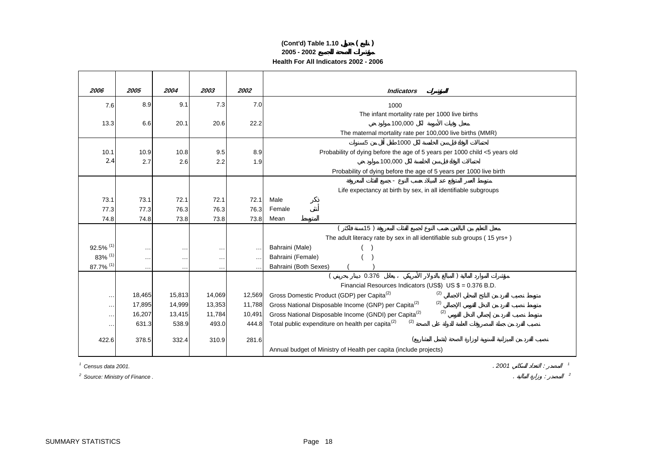#### **(Cont'd) Table 1.10 ( ) 2005 - 2002 Health For All Indicators 2002 - 2006**

| 2006                    | 2005                   | 2004     | 2003               | 2002      | <b>Indicators</b>                                                          |
|-------------------------|------------------------|----------|--------------------|-----------|----------------------------------------------------------------------------|
| 7.6                     | 8.9                    | 9.1      | 7.3                | 7.0       | 1000                                                                       |
|                         |                        |          |                    |           | The infant mortality rate per 1000 live births                             |
| 13.3                    | 6.6                    | 20.1     | 20.6               | 22.2      | 100,000                                                                    |
|                         |                        |          |                    |           | The maternal mortality rate per 100,000 live births (MMR)                  |
|                         |                        |          |                    |           | 5<br>1000                                                                  |
| 10.1                    | 10.9                   | 10.8     | 9.5                | 8.9       | Probability of dying before the age of 5 years per 1000 child <5 years old |
| 2.4                     | 2.7                    | 2.6      | 2.2                | 1.9       | 100,000                                                                    |
|                         |                        |          |                    |           | Probability of dying before the age of 5 years per 1000 live birth         |
|                         |                        |          |                    |           |                                                                            |
|                         |                        |          |                    |           | Life expectancy at birth by sex, in all identifiable subgroups             |
| 73.1                    | 73.1                   | 72.1     | 72.1               | 72.1      | Male                                                                       |
| 77.3                    | 77.3                   | 76.3     | 76.3               | 76.3      | Female<br>Mean                                                             |
| 74.8                    | 74.8                   | 73.8     | 73.8               | 73.8      | 15)                                                                        |
|                         |                        |          |                    |           | The adult literacy rate by sex in all identifiable sub groups (15 yrs+)    |
| $92.5\%$ <sup>(1)</sup> |                        | $\cdots$ |                    | $\ddotsc$ | Bahraini (Male)                                                            |
| 83% (1)                 | $\ddotsc$<br>$\ddotsc$ | $\cdots$ | $\sim$<br>$\cdots$ | $\sim$    | Bahraini (Female)                                                          |
| $87.7\%$ <sup>(1)</sup> | $\ddotsc$              | $\cdots$ | $\cdots$           |           | Bahraini (Both Sexes)                                                      |
|                         |                        |          |                    |           | 0.376                                                                      |
|                         |                        |          |                    |           | Financial Resources Indicators (US\$) US \$ = 0.376 B.D.                   |
| $\cdots$                | 18,465                 | 15,813   | 14,069             | 12,569    | (2)<br>Gross Domestic Product (GDP) per Capita <sup>(2)</sup>              |
| $\cdots$                | 17,895                 | 14,999   | 13,353             | 11,788    | (2)<br>Gross National Disposable Income (GNP) per Capita <sup>(2)</sup>    |
| $\cdots$                | 16,207                 | 13,415   | 11,784             | 10,491    | (2)<br>Gross National Disposable Income (GNDI) per Capita <sup>(2)</sup>   |
| $\cdots$                | 631.3                  | 538.9    | 493.0              | 444.8     | (2)<br>Total public expenditure on health per capita <sup>(2)</sup>        |
|                         |                        |          |                    |           |                                                                            |
| 422.6                   | 378.5                  | 332.4    | 310.9              | 281.6     |                                                                            |
|                         |                        |          |                    |           | Annual budget of Ministry of Health per capita (include projects)          |

*1 Census data 2001.*

*2 Source: Ministry of Finance .* . : *<sup>2</sup>*

. *2001* : *<sup>1</sup>*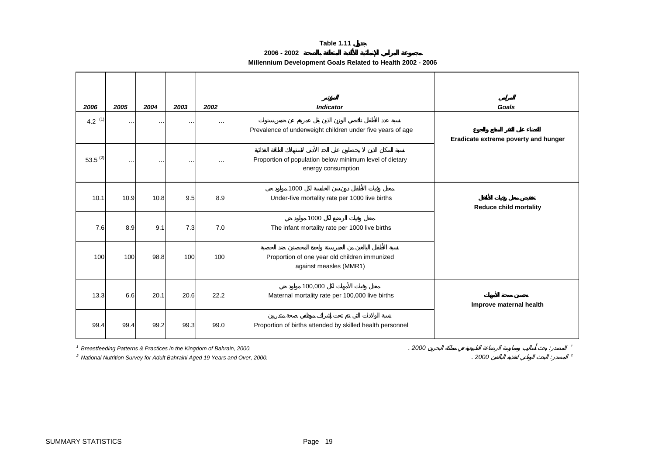**2006 - 2002**

## **Millennium Development Goals Related to Health 2002 - 2006**

<span id="page-19-0"></span>

| 2006         | 2005      | 2004      | 2003      | 2002                 | <b>Indicator</b>                                                              | Goals                                |
|--------------|-----------|-----------|-----------|----------------------|-------------------------------------------------------------------------------|--------------------------------------|
| 4.2 $(1)$    | $\ddotsc$ | $\cdots$  | $\ddotsc$ | $\ddot{\phantom{a}}$ | Prevalence of underweight children under five years of age                    | Eradicate extreme poverty and hunger |
| $53.5^{(2)}$ |           | $\cdot$ . |           | $\ddot{\phantom{a}}$ | Proportion of population below minimum level of dietary<br>energy consumption |                                      |
| 10.1         | 10.9      | 10.8      | 9.5       | 8.9                  | 1000<br>Under-five mortality rate per 1000 live births                        | <b>Reduce child mortality</b>        |
| 7.6          | 8.9       | 9.1       | 7.3       | 7.0                  | 1000<br>The infant mortality rate per 1000 live births                        |                                      |
| 100          | 100       | 98.8      | 100       | 100                  | Proportion of one year old children immunized<br>against measles (MMR1)       |                                      |
| 13.3         | 6.6       | 20.1      | 20.6      | 22.2                 | 100,000<br>Maternal mortality rate per 100,000 live births                    | Improve maternal health              |
| 99.4         | 99.4      | 99.2      | 99.3      | 99.0                 | Proportion of births attended by skilled health personnel                     |                                      |

*1* Breastfeeding Patterns & Practices in the Kingdom of Bahrain, 2000.<br>
<sup>2</sup> National Nutrition Survey for Adult Bahraini Aged 19 Years and Over. 2000.

<sup>2</sup> National Nutrition Survey for Adult Bahraini Aged 19 Years and Over, 2000. *2000* : *2000 2000*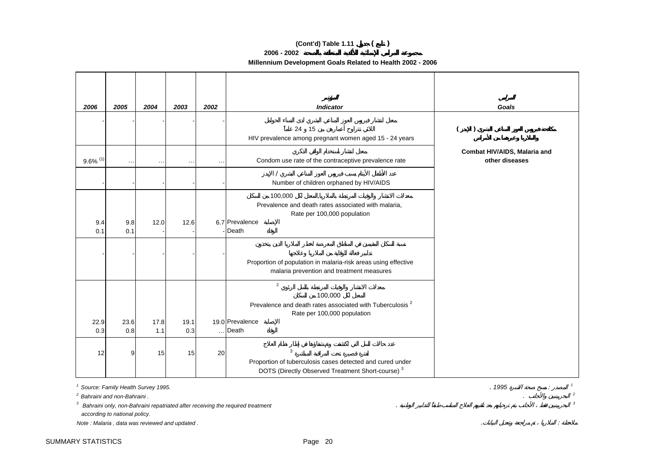#### **(Cont'd) Table 1.11 ( )**

**2006 - 2002**

#### **Millennium Development Goals Related to Health 2002 - 2006**

| 2006                   | 2005       | 2004      | 2003      | 2002 | <b>Indicator</b>                                                                                                                                    | Goals                                          |
|------------------------|------------|-----------|-----------|------|-----------------------------------------------------------------------------------------------------------------------------------------------------|------------------------------------------------|
|                        |            |           |           |      | 24 15<br>HIV prevalence among pregnant women aged 15 - 24 years                                                                                     |                                                |
| $9.6\%$ <sup>(1)</sup> | $\ddotsc$  | $\ddotsc$ | $\ddotsc$ |      | Condom use rate of the contraceptive prevalence rate                                                                                                | Combat HIV/AIDS, Malaria and<br>other diseases |
|                        |            |           |           |      | Number of children orphaned by HIV/AIDS                                                                                                             |                                                |
| 9.4<br>0.1             | 9.8<br>0.1 | 12.0      | 12.6      |      | 100,000<br>Prevalence and death rates associated with malaria,<br>Rate per 100,000 population<br>6.7 Prevalence<br>- Death                          |                                                |
|                        |            |           |           |      | Proportion of population in malaria-risk areas using effective<br>malaria prevention and treatment measures                                         |                                                |
| 22.9                   | 23.6       | 17.8      | 19.1      |      | $\overline{2}$<br>100,000<br>Prevalence and death rates associated with Tuberculosis <sup>2</sup><br>Rate per 100,000 population<br>19.0 Prevalence |                                                |
| 0.3                    | 0.8        | 1.1       | 0.3       |      | Death                                                                                                                                               |                                                |
| 12                     | 9          | 15        | 15        | 20   | 3<br>Proportion of tuberculosis cases detected and cured under<br>DOTS (Directly Observed Treatment Short-course) <sup>3</sup>                      |                                                |

*1 Source: Family Health Survey 1995.* . *1995* : *<sup>1</sup>*

*2 Bahraini and non-Bahraini .*. *<sup>2</sup>*

<sup>3</sup> Bahraini only, non-Bahraini repatriated after receiving the required treatment *3* and *3 3 3 3 3 3 3 3 3 8* **<b>***8 3 3 8* **<b>***8 8 8 8 8 8 8 8*

 *according to national policy.*

*Note : Malaria , data was reviewed and updated .* . :